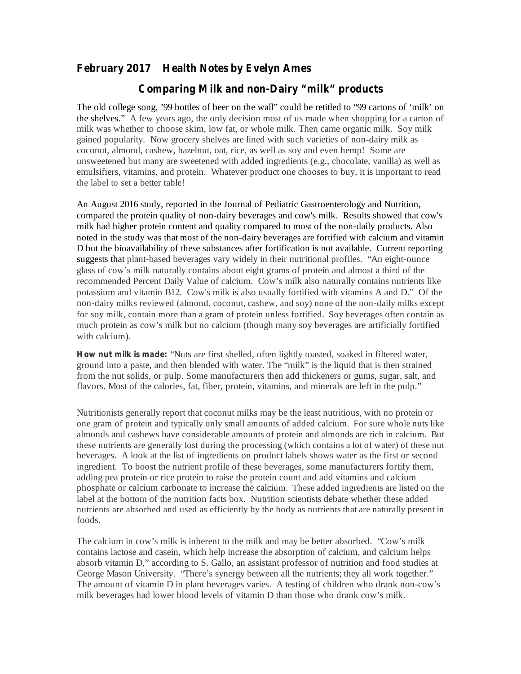## **February 2017 Health Notes by Evelyn Ames**

## **Comparing Milk and non-Dairy "milk" products**

The old college song, '99 bottles of beer on the wall" could be retitled to "99 cartons of 'milk' on the shelves." A few years ago, the only decision most of us made when shopping for a carton of milk was whether to choose skim, low fat, or whole milk. Then came organic milk. Soy milk gained popularity. Now grocery shelves are lined with such varieties of non-dairy milk as coconut, almond, cashew, hazelnut, oat, rice, as well as soy and even hemp! Some are unsweetened but many are sweetened with added ingredients (e.g., chocolate, vanilla) as well as emulsifiers, vitamins, and protein. Whatever product one chooses to buy, it is important to read the label to set a better table!

An August 2016 study, reported in the Journal of Pediatric Gastroenterology and Nutrition, compared the protein quality of non-dairy beverages and cow's milk. Results showed that cow's milk had higher protein content and quality compared to most of the non-daily products. Also noted in the study was that most of the non-dairy beverages are fortified with calcium and vitamin D but the bioavailability of these substances after fortification is not available. Current reporting suggests that plant-based beverages vary widely in their nutritional profiles. "An eight-ounce glass of cow's milk naturally contains about eight grams of protein and almost a third of the recommended Percent Daily Value of calcium. Cow's milk also naturally contains nutrients like potassium and vitamin B12. Cow's milk is also usually fortified with vitamins A and D." Of the non-dairy milks reviewed (almond, coconut, cashew, and soy) none of the non-daily milks except for soy milk, contain more than a gram of protein unless fortified. Soy beverages often contain as much protein as cow's milk but no calcium (though many soy beverages are artificially fortified with calcium).

**How nut milk is made:** "Nuts are first shelled, often lightly toasted, soaked in filtered water, ground into a paste, and then blended with water. The "milk" is the liquid that is then strained from the nut solids, or pulp. Some manufacturers then add thickeners or gums, sugar, salt, and flavors. Most of the calories, fat, fiber, protein, vitamins, and minerals are left in the pulp."

Nutritionists generally report that coconut milks may be the least nutritious, with no protein or one gram of protein and typically only small amounts of added calcium. For sure whole nuts like almonds and cashews have considerable amounts of protein and almonds are rich in calcium. But these nutrients are generally lost during the processing (which contains a lot of water) of these nut beverages. A look at the list of ingredients on product labels shows water as the first or second ingredient. To boost the nutrient profile of these beverages, some manufacturers fortify them, adding pea protein or rice protein to raise the protein count and add vitamins and calcium phosphate or calcium carbonate to increase the calcium. These added ingredients are listed on the label at the bottom of the nutrition facts box. Nutrition scientists debate whether these added nutrients are absorbed and used as efficiently by the body as nutrients that are naturally present in foods.

The calcium in cow's milk is inherent to the milk and may be better absorbed. "Cow's milk contains lactose and casein, which help increase the absorption of calcium, and calcium helps absorb vitamin D," according to S. Gallo, an assistant professor of nutrition and food studies at George Mason University. "There's synergy between all the nutrients; they all work together." The amount of vitamin D in plant beverages varies. A testing of children who drank non-cow's milk beverages had lower blood levels of vitamin D than those who drank cow's milk.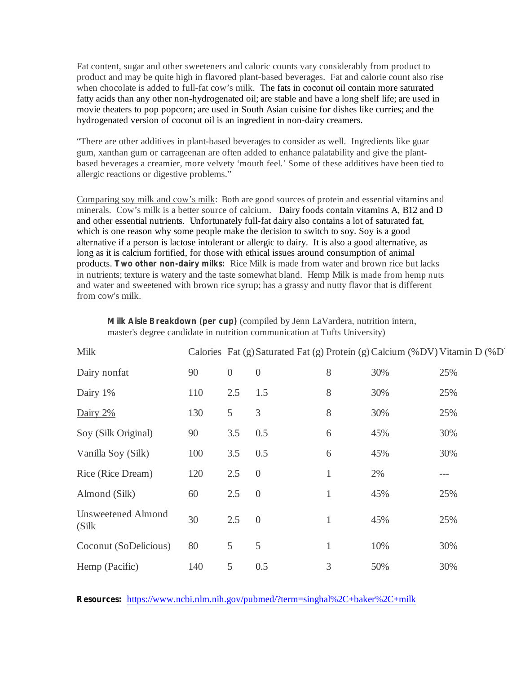Fat content, sugar and other sweeteners and caloric counts vary considerably from product to product and may be quite high in flavored plant-based beverages. Fat and calorie count also rise when chocolate is added to full-fat cow's milk. The fats in coconut oil contain more saturated fatty acids than any other non-hydrogenated oil; are stable and have a long shelf life; are used in movie theaters to pop popcorn; are used in South Asian cuisine for dishes like curries; and the hydrogenated version of coconut oil is an ingredient in non-dairy creamers.

"There are other additives in plant-based beverages to consider as well. Ingredients like guar gum, xanthan gum or carrageenan are often added to enhance palatability and give the plantbased beverages a creamier, more velvety 'mouth feel.' Some of these additives have been tied to allergic reactions or digestive problems."

Comparing soy milk and cow's milk: Both are good sources of protein and essential vitamins and minerals. Cow's milk is a better source of calcium. Dairy foods contain vitamins A, B12 and D and other essential nutrients. Unfortunately full-fat dairy also contains a lot of saturated fat, which is one reason why some people make the decision to switch to soy. Soy is a good alternative if a person is lactose intolerant or allergic to dairy. It is also a good alternative, as long as it is calcium fortified, for those with ethical issues around consumption of animal products. Two other non-dairy milks: Rice Milk is made from water and brown rice but lacks in nutrients; texture is watery and the taste somewhat bland. Hemp Milk is made from hemp nuts and water and sweetened with brown rice syrup; has a grassy and nutty flavor that is different from cow's milk.

| <b>Milk</b>                         |     |          | Calories Fat (g) Saturated Fat (g) Protein (g) Calcium (%DV) Vitamin D (%D' |   |     |     |
|-------------------------------------|-----|----------|-----------------------------------------------------------------------------|---|-----|-----|
| Dairy nonfat                        | 90  | $\theta$ | $\overline{0}$                                                              | 8 | 30% | 25% |
| Dairy 1%                            | 110 | 2.5      | 1.5                                                                         | 8 | 30% | 25% |
| Dairy 2%                            | 130 | 5        | 3                                                                           | 8 | 30% | 25% |
| Soy (Silk Original)                 | 90  | 3.5      | 0.5                                                                         | 6 | 45% | 30% |
| Vanilla Soy (Silk)                  | 100 | 3.5      | 0.5                                                                         | 6 | 45% | 30% |
| Rice (Rice Dream)                   | 120 | 2.5      | $\overline{0}$                                                              | 1 | 2%  | --- |
| Almond (Silk)                       | 60  | 2.5      | $\overline{0}$                                                              | 1 | 45% | 25% |
| <b>Unsweetened Almond</b><br>(Silk) | 30  | 2.5      | $\overline{0}$                                                              | 1 | 45% | 25% |
| Coconut (SoDelicious)               | 80  | 5        | 5                                                                           | 1 | 10% | 30% |
| Hemp (Pacific)                      | 140 | 5        | 0.5                                                                         | 3 | 50% | 30% |

(compiled by Jenn LaVardera, nutrition intern, **Milk Aisle Breakdown (per cup)** master's degree candidate in nutrition communication at Tufts University)

Resources: https://www.ncbi.nlm.nih.gov/pubmed/?term=singhal%2C+baker%2C+milk